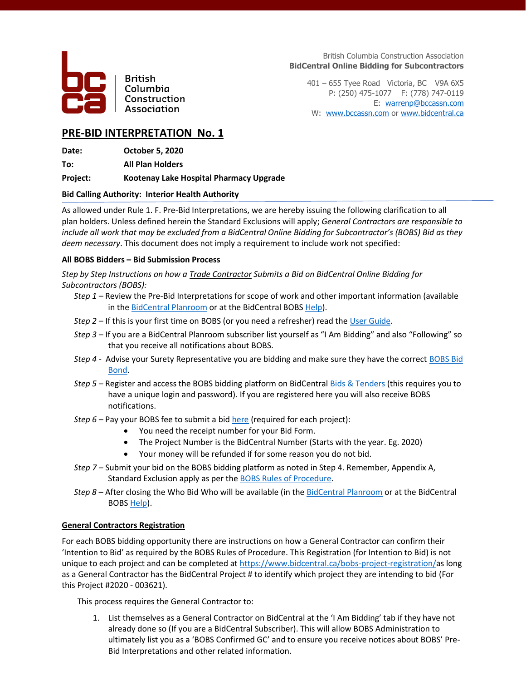

**British** Columbia Construction Association

British Columbia Construction Association **BidCentral Online Bidding for Subcontractors**

401 – 655 Tyee Road Victoria, BC V9A 6X5 P: (250) 475-1077 F: (778) 747-0119 E: [warrenp@bccassn.com](mailto:warrenp@bccassn.com) W: [www.bccassn.com](http://www.bccassn.com/) o[r www.bidcentral.ca](http://www.bidcentral.ca/)

## **PRE-BID INTERPRETATION No. 1**

**Date: October 5, 2020**

**To: All Plan Holders**

**Project: Kootenay Lake Hospital Pharmacy Upgrade**

### **Bid Calling Authority: Interior Health Authority**

As allowed under Rule 1. F. Pre-Bid Interpretations, we are hereby issuing the following clarification to all plan holders. Unless defined herein the Standard Exclusions will apply; *General Contractors are responsible to include all work that may be excluded from a BidCentral Online Bidding for Subcontractor's (BOBS) Bid as they deem necessary*. This document does not imply a requirement to include work not specified:

### **All BOBS Bidders – Bid Submission Process**

*Step by Step Instructions on how a Trade Contractor Submits a Bid on BidCentral Online Bidding for Subcontractors (BOBS):*

- *Step 1 –* Review the Pre-Bid Interpretations for scope of work and other important information (available in the **BidCentral Planroom** or at the BidCentral BOB[S Help\)](https://www.bidcentral.ca/online-bidding-for-subcontractors/).
- *Step 2 –* If this is your first time on BOBS (or you need a refresher) read the [User Guide.](https://www.bidcentral.ca/wp-content/uploads/2020/08/BOBS-Training-Guide-Version-1.1pdf.pdf)
- *Step 3 –* If you are a BidCentral Planroom subscriber list yourself as "I Am Bidding" and also "Following" so that you receive all notifications about BOBS.
- *Step 4 -* Advise your Surety Representative you are bidding and make sure they have the correc[t BOBS Bid](https://www.bidcentral.ca/help/bobs-bond-form/)  [Bond.](https://www.bidcentral.ca/help/bobs-bond-form/)
- *Step 5 –* Register and access the BOBS bidding platform on BidCentra[l Bids & Tenders](https://bidcentral.bidsandtenders.ca/) (this requires you to have a unique login and password). If you are registered here you will also receive BOBS notifications.
- *Step 6 –* Pay your BOBS fee to submit a bid [here](https://www.bidcentral.ca/bobs-tc-project-registration/) (required for each project):
	- You need the receipt number for your Bid Form.
	- The Project Number is the BidCentral Number (Starts with the year. Eg. 2020)
	- Your money will be refunded if for some reason you do not bid.
- *Step 7 –* Submit your bid on the BOBS bidding platform as noted in Step 4. Remember, Appendix A, Standard Exclusion apply as per th[e BOBS Rules of Procedure.](https://www.bidcentral.ca/help/bobs-rules-of-procedure/)
- *Step 8 –* After closing the Who Bid Who will be available (in the [BidCentral Planroom](https://www.bidcentral.ca/login/) or at the BidCentral BOB[S Help\)](https://www.bidcentral.ca/online-bidding-for-subcontractors/).

### **General Contractors Registration**

For each BOBS bidding opportunity there are instructions on how a General Contractor can confirm their 'Intention to Bid' as required by the BOBS Rules of Procedure. This Registration (for Intention to Bid) is not unique to each project and can be completed at [https://www.bidcentral.ca/bobs-project-registration/a](https://www.bidcentral.ca/bobs-project-registration/)s long as a General Contractor has the BidCentral Project # to identify which project they are intending to bid (For this Project #2020 - 003621).

This process requires the General Contractor to:

1. List themselves as a General Contractor on BidCentral at the 'I Am Bidding' tab if they have not already done so (If you are a BidCentral Subscriber). This will allow BOBS Administration to ultimately list you as a 'BOBS Confirmed GC' and to ensure you receive notices about BOBS' Pre-Bid Interpretations and other related information.